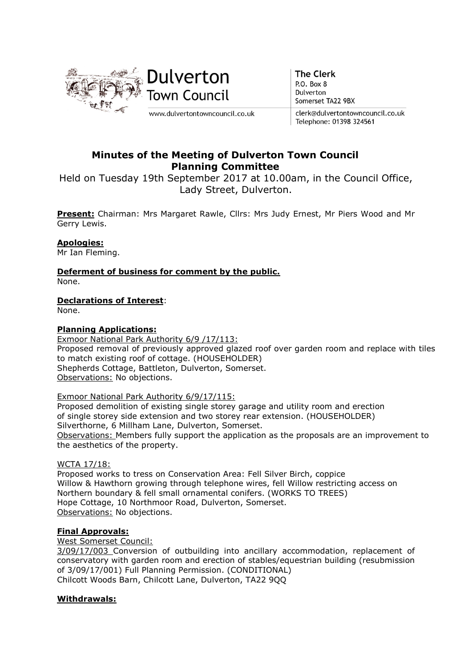

**The Clerk** P.O. Box 8 Dulverton Somerset TA22 9BX

clerk@dulvertontowncouncil.co.uk Telephone: 01398 324561

# Minutes of the Meeting of Dulverton Town Council Planning Committee

Held on Tuesday 19th September 2017 at 10.00am, in the Council Office, Lady Street, Dulverton.

Present: Chairman: Mrs Margaret Rawle, Cllrs: Mrs Judy Ernest, Mr Piers Wood and Mr Gerry Lewis.

# Apologies:

Mr Ian Fleming.

Deferment of business for comment by the public. None.

Declarations of Interest:

None.

#### Planning Applications:

Exmoor National Park Authority 6/9 /17/113: Proposed removal of previously approved glazed roof over garden room and replace with tiles to match existing roof of cottage. (HOUSEHOLDER) Shepherds Cottage, Battleton, Dulverton, Somerset. Observations: No objections.

#### Exmoor National Park Authority 6/9/17/115:

Proposed demolition of existing single storey garage and utility room and erection of single storey side extension and two storey rear extension. (HOUSEHOLDER) Silverthorne, 6 Millham Lane, Dulverton, Somerset. Observations: Members fully support the application as the proposals are an improvement to

the aesthetics of the property.

WCTA 17/18:

Proposed works to tress on Conservation Area: Fell Silver Birch, coppice Willow & Hawthorn growing through telephone wires, fell Willow restricting access on Northern boundary & fell small ornamental conifers. (WORKS TO TREES) Hope Cottage, 10 Northmoor Road, Dulverton, Somerset. Observations: No objections.

#### Final Approvals:

West Somerset Council:

3/09/17/003 Conversion of outbuilding into ancillary accommodation, replacement of conservatory with garden room and erection of stables/equestrian building (resubmission of 3/09/17/001) Full Planning Permission. (CONDITIONAL) Chilcott Woods Barn, Chilcott Lane, Dulverton, TA22 9QQ

#### Withdrawals: